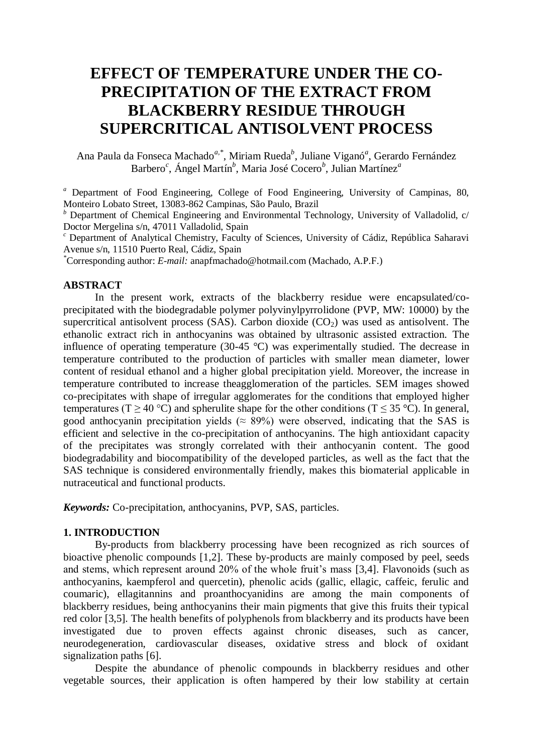# **EFFECT OF TEMPERATURE UNDER THE CO-PRECIPITATION OF THE EXTRACT FROM BLACKBERRY RESIDUE THROUGH SUPERCRITICAL ANTISOLVENT PROCESS**

Ana Paula da Fonseca Machado*a,\**, Miriam Rueda*<sup>b</sup>* , Juliane Viganó*<sup>a</sup>* , Gerardo Fernández Barbero*<sup>c</sup>* , Ángel Martín*<sup>b</sup>* , Maria José Cocero*<sup>b</sup>* , Julian Martínez*<sup>a</sup>*

*<sup>a</sup>* Department of Food Engineering, College of Food Engineering, University of Campinas, 80, Monteiro Lobato Street, 13083-862 Campinas, São Paulo, Brazil

*<sup>b</sup>* Department of Chemical Engineering and Environmental Technology, University of Valladolid, c/ Doctor Mergelina s/n, 47011 Valladolid, Spain

*<sup>c</sup>* Department of Analytical Chemistry, Faculty of Sciences, University of Cádiz, República Saharavi Avenue s/n, 11510 Puerto Real, Cádiz, Spain

*\**Corresponding author: *E-mail:* anapfmachado@hotmail.com (Machado, A.P.F.)

#### **ABSTRACT**

In the present work, extracts of the blackberry residue were encapsulated/coprecipitated with the biodegradable polymer polyvinylpyrrolidone (PVP, MW: 10000) by the supercritical antisolvent process (SAS). Carbon dioxide  $(CO<sub>2</sub>)$  was used as antisolvent. The ethanolic extract rich in anthocyanins was obtained by ultrasonic assisted extraction. The influence of operating temperature (30-45 °C) was experimentally studied. The decrease in temperature contributed to the production of particles with smaller mean diameter, lower content of residual ethanol and a higher global precipitation yield. Moreover, the increase in temperature contributed to increase theagglomeration of the particles. SEM images showed co-precipitates with shape of irregular agglomerates for the conditions that employed higher temperatures (T > 40 °C) and spherulite shape for the other conditions (T < 35 °C). In general, good anthocyanin precipitation yields ( $\approx 89\%$ ) were observed, indicating that the SAS is efficient and selective in the co-precipitation of anthocyanins. The high antioxidant capacity of the precipitates was strongly correlated with their anthocyanin content. The good biodegradability and biocompatibility of the developed particles, as well as the fact that the SAS technique is considered environmentally friendly, makes this biomaterial applicable in nutraceutical and functional products.

*Keywords:* Co-precipitation, anthocyanins, PVP, SAS, particles.

#### **1. INTRODUCTION**

By-products from blackberry processing have been recognized as rich sources of bioactive phenolic compounds [1,2]. These by-products are mainly composed by peel, seeds and stems, which represent around 20% of the whole fruit's mass [3,4]. Flavonoids (such as anthocyanins, kaempferol and quercetin), phenolic acids (gallic, ellagic, caffeic, ferulic and coumaric), ellagitannins and proanthocyanidins are among the main components of blackberry residues, being anthocyanins their main pigments that give this fruits their typical red color [3,5]. The health benefits of polyphenols from blackberry and its products have been investigated due to proven effects against chronic diseases, such as cancer, neurodegeneration, cardiovascular diseases, oxidative stress and block of oxidant signalization paths [6].

Despite the abundance of phenolic compounds in blackberry residues and other vegetable sources, their application is often hampered by their low stability at certain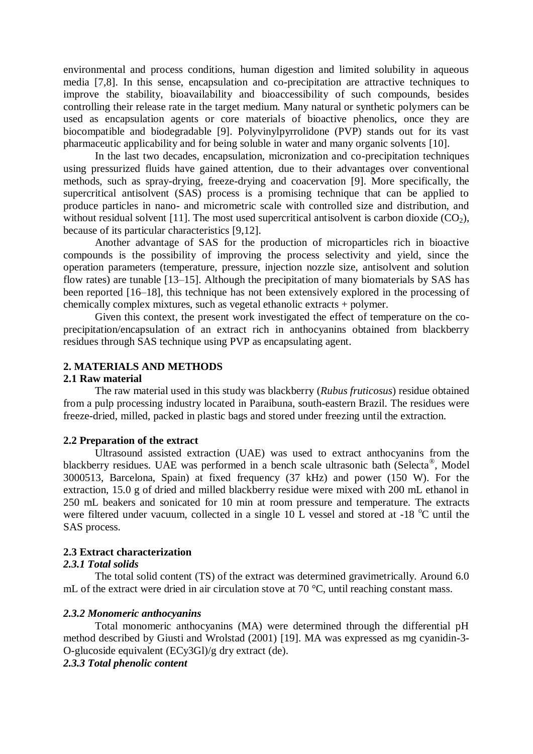environmental and process conditions, human digestion and limited solubility in aqueous media [7,8]. In this sense, encapsulation and co-precipitation are attractive techniques to improve the stability, bioavailability and bioaccessibility of such compounds, besides controlling their release rate in the target medium. Many natural or synthetic polymers can be used as encapsulation agents or core materials of bioactive phenolics, once they are biocompatible and biodegradable [9]. Polyvinylpyrrolidone (PVP) stands out for its vast pharmaceutic applicability and for being soluble in water and many organic solvents [10].

In the last two decades, encapsulation, micronization and co-precipitation techniques using pressurized fluids have gained attention, due to their advantages over conventional methods, such as spray-drying, freeze-drying and coacervation [9]. More specifically, the supercritical antisolvent (SAS) process is a promising technique that can be applied to produce particles in nano- and micrometric scale with controlled size and distribution, and without residual solvent [11]. The most used supercritical antisolvent is carbon dioxide  $(CO<sub>2</sub>)$ , because of its particular characteristics [9,12].

Another advantage of SAS for the production of microparticles rich in bioactive compounds is the possibility of improving the process selectivity and yield, since the operation parameters (temperature, pressure, injection nozzle size, antisolvent and solution flow rates) are tunable [13–15]. Although the precipitation of many biomaterials by SAS has been reported [16–18], this technique has not been extensively explored in the processing of chemically complex mixtures, such as vegetal ethanolic extracts + polymer.

Given this context, the present work investigated the effect of temperature on the coprecipitation/encapsulation of an extract rich in anthocyanins obtained from blackberry residues through SAS technique using PVP as encapsulating agent.

#### **2. MATERIALS AND METHODS**

## **2.1 Raw material**

The raw material used in this study was blackberry (*Rubus fruticosus*) residue obtained from a pulp processing industry located in Paraibuna, south-eastern Brazil. The residues were freeze-dried, milled, packed in plastic bags and stored under freezing until the extraction.

#### **2.2 Preparation of the extract**

Ultrasound assisted extraction (UAE) was used to extract anthocyanins from the blackberry residues. UAE was performed in a bench scale ultrasonic bath (Selecta®, Model 3000513, Barcelona, Spain) at fixed frequency (37 kHz) and power (150 W). For the extraction, 15.0 g of dried and milled blackberry residue were mixed with 200 mL ethanol in 250 mL beakers and sonicated for 10 min at room pressure and temperature. The extracts were filtered under vacuum, collected in a single 10 L vessel and stored at  $-18$  °C until the SAS process.

#### **2.3 Extract characterization**

# *2.3.1 Total solids*

The total solid content (TS) of the extract was determined gravimetrically. Around 6.0 mL of the extract were dried in air circulation stove at 70 °C, until reaching constant mass.

#### *2.3.2 Monomeric anthocyanins*

Total monomeric anthocyanins (MA) were determined through the differential pH method described by Giusti and Wrolstad (2001) [19]. MA was expressed as mg cyanidin-3- O-glucoside equivalent (ECy3Gl)/g dry extract (de).

# *2.3.3 Total phenolic content*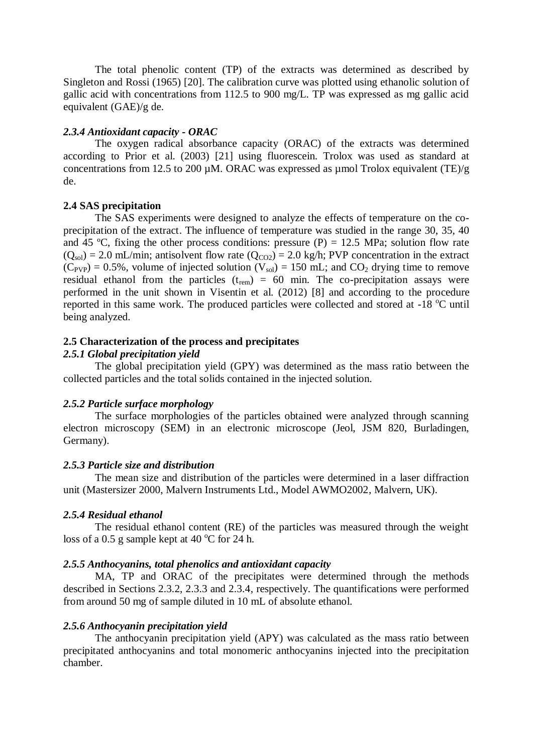The total phenolic content (TP) of the extracts was determined as described by Singleton and Rossi (1965) [20]. The calibration curve was plotted using ethanolic solution of gallic acid with concentrations from 112.5 to 900 mg/L. TP was expressed as mg gallic acid equivalent (GAE)/g de.

# *2.3.4 Antioxidant capacity - ORAC*

The oxygen radical absorbance capacity (ORAC) of the extracts was determined according to Prior et al. (2003) [21] using fluorescein. Trolox was used as standard at concentrations from 12.5 to 200  $\mu$ M. ORAC was expressed as  $\mu$ mol Trolox equivalent (TE)/g de.

## **2.4 SAS precipitation**

The SAS experiments were designed to analyze the effects of temperature on the coprecipitation of the extract. The influence of temperature was studied in the range 30, 35, 40 and 45 °C, fixing the other process conditions: pressure  $(P) = 12.5$  MPa; solution flow rate  $(Q<sub>sol</sub>) = 2.0$  mL/min; antisolvent flow rate  $(Q<sub>CO2</sub>) = 2.0$  kg/h; PVP concentration in the extract  $(C_{PVP}) = 0.5\%$ , volume of injected solution  $(V_{sol}) = 150$  mL; and  $CO_2$  drying time to remove residual ethanol from the particles  $(t_{rem}) = 60$  min. The co-precipitation assays were performed in the unit shown in Visentin et al. (2012) [8] and according to the procedure reported in this same work. The produced particles were collected and stored at  $-18$  °C until being analyzed.

## **2.5 Characterization of the process and precipitates**

#### *2.5.1 Global precipitation yield*

The global precipitation yield (GPY) was determined as the mass ratio between the collected particles and the total solids contained in the injected solution.

#### *2.5.2 Particle surface morphology*

The surface morphologies of the particles obtained were analyzed through scanning electron microscopy (SEM) in an electronic microscope (Jeol, JSM 820, Burladingen, Germany).

#### *2.5.3 Particle size and distribution*

The mean size and distribution of the particles were determined in a laser diffraction unit (Mastersizer 2000, Malvern Instruments Ltd., Model AWMO2002, Malvern, UK).

# *2.5.4 Residual ethanol*

The residual ethanol content (RE) of the particles was measured through the weight loss of a 0.5 g sample kept at 40  $^{\circ}$ C for 24 h.

# *2.5.5 Anthocyanins, total phenolics and antioxidant capacity*

MA, TP and ORAC of the precipitates were determined through the methods described in Sections 2.3.2, 2.3.3 and 2.3.4, respectively. The quantifications were performed from around 50 mg of sample diluted in 10 mL of absolute ethanol.

#### *2.5.6 Anthocyanin precipitation yield*

The anthocyanin precipitation yield (APY) was calculated as the mass ratio between precipitated anthocyanins and total monomeric anthocyanins injected into the precipitation chamber.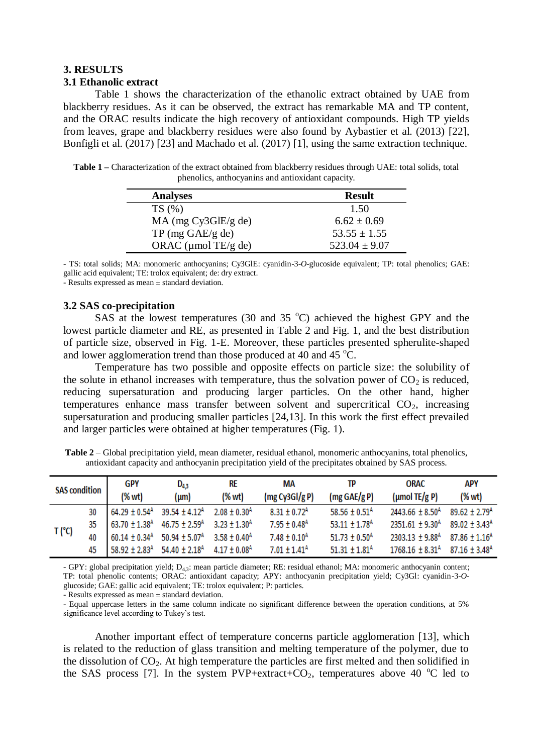#### **3. RESULTS**

#### **3.1 Ethanolic extract**

Table 1 shows the characterization of the ethanolic extract obtained by UAE from blackberry residues. As it can be observed, the extract has remarkable MA and TP content, and the ORAC results indicate the high recovery of antioxidant compounds. High TP yields from leaves, grape and blackberry residues were also found by Aybastier et al. (2013) [22], Bonfigli et al. (2017) [23] and Machado et al. (2017) [1], using the same extraction technique.

**Table 1 –** Characterization of the extract obtained from blackberry residues through UAE: total solids, total phenolics, anthocyanins and antioxidant capacity.

| <b>Analyses</b>            | <b>Result</b>     |
|----------------------------|-------------------|
| TS(%)                      | 1.50              |
| $MA$ (mg Cy3GlE/g de)      | $6.62 \pm 0.69$   |
| $TP \text{ (mg GAE/g de)}$ | $53.55 \pm 1.55$  |
| ORAC ( $\mu$ mol TE/g de)  | $523.04 \pm 9.07$ |

- TS: total solids; MA: monomeric anthocyanins; Cy3GlE: cyanidin-3-*O*-glucoside equivalent; TP: total phenolics; GAE: gallic acid equivalent; TE: trolox equivalent; de: dry extract.

- Results expressed as mean ± standard deviation.

#### **3.2 SAS co-precipitation**

SAS at the lowest temperatures (30 and 35  $^{\circ}$ C) achieved the highest GPY and the lowest particle diameter and RE, as presented in Table 2 and Fig. 1, and the best distribution of particle size, observed in Fig. 1-E. Moreover, these particles presented spherulite-shaped and lower agglomeration trend than those produced at 40 and 45  $^{\circ}$ C.

Temperature has two possible and opposite effects on particle size: the solubility of the solute in ethanol increases with temperature, thus the solvation power of  $CO<sub>2</sub>$  is reduced, reducing supersaturation and producing larger particles. On the other hand, higher temperatures enhance mass transfer between solvent and supercritical  $CO<sub>2</sub>$ , increasing supersaturation and producing smaller particles [24,13]. In this work the first effect prevailed and larger particles were obtained at higher temperatures (Fig. 1).

| <b>SAS condition</b> |    | GPY    | $D_{4,3}$                                                                                | <b>RE</b> | МA                           | ТP                             | ORAC                                                          | <b>APY</b> |
|----------------------|----|--------|------------------------------------------------------------------------------------------|-----------|------------------------------|--------------------------------|---------------------------------------------------------------|------------|
|                      |    | (% wt) | ${\rm (µm)}$                                                                             | (% wt)    | (mg Cy3Gl/g P)               | $(mg \text{ GAE}/g \text{ P})$ | ( $\mu$ mol TE/g P)                                           | (% wt)     |
| $T(^{\circ}C)$       | 30 |        | $64.29 \pm 0.54$ <sup>A</sup> 39.54 $\pm$ 4.12 <sup>A</sup> 2.08 $\pm$ 0.30 <sup>A</sup> |           | $8.31 \pm 0.72$ <sup>A</sup> | 58.56 ± $0.51A$                | $2443.66 \pm 8.50^{A}$ 89.62 $\pm 2.79^{A}$                   |            |
|                      |    |        | 35 63.70 ± 1.38 <sup>A</sup> 46.75 ± 2.59 <sup>A</sup> 3.23 ± 1.30 <sup>A</sup>          |           | $7.95 \pm 0.48$ <sup>A</sup> | $53.11 \pm 1.78$ <sup>A</sup>  | $2351.61 \pm 9.30^{A}$ 89.02 $\pm 3.43^{A}$                   |            |
|                      | 40 |        | $60.14 \pm 0.34$ <sup>A</sup> 50.94 $\pm$ 5.07 <sup>A</sup> 3.58 $\pm$ 0.40 <sup>A</sup> |           | $7.48 \pm 0.10^{\text{A}}$   | $51.73 \pm 0.50$ <sup>A</sup>  | $2303.13 \pm 9.88$ <sup>A</sup> 87.86 $\pm 1.16$ <sup>A</sup> |            |
|                      | 45 |        | $58.92 \pm 2.83^{\text{A}}$ 54.40 $\pm 2.18^{\text{A}}$ 4.17 $\pm 0.08^{\text{A}}$       |           | $7.01 \pm 1.41^{\text{A}}$   | $51.31 \pm 1.81^{\text{A}}$    | $1768.16 \pm 8.31^{\text{A}}$ 87.16 $\pm$ 3.48 <sup>A</sup>   |            |

**Table 2** – Global precipitation yield, mean diameter, residual ethanol, monomeric anthocyanins, total phenolics, antioxidant capacity and anthocyanin precipitation yield of the precipitates obtained by SAS process.

- GPY: global precipitation yield; D4,3: mean particle diameter; RE: residual ethanol; MA: monomeric anthocyanin content; TP: total phenolic contents; ORAC: antioxidant capacity; APY: anthocyanin precipitation yield; Cy3Gl: cyanidin-3-*O*glucoside; GAE: gallic acid equivalent; TE: trolox equivalent; P: particles.

- Results expressed as mean ± standard deviation.

- Equal uppercase letters in the same column indicate no significant difference between the operation conditions, at 5% significance level according to Tukey's test.

Another important effect of temperature concerns particle agglomeration [13], which is related to the reduction of glass transition and melting temperature of the polymer, due to the dissolution of  $CO<sub>2</sub>$ . At high temperature the particles are first melted and then solidified in the SAS process [7]. In the system PVP+extract+CO<sub>2</sub>, temperatures above 40  $^{\circ}$ C led to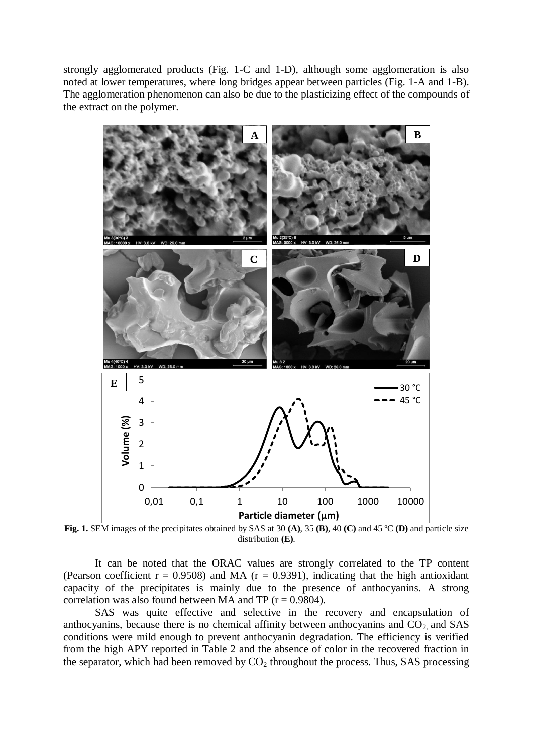strongly agglomerated products (Fig. 1-C and 1-D), although some agglomeration is also noted at lower temperatures, where long bridges appear between particles (Fig. 1-A and 1-B). The agglomeration phenomenon can also be due to the plasticizing effect of the compounds of the extract on the polymer.



**Fig. 1.** SEM images of the precipitates obtained by SAS at 30 **(A)**, 35 **(B)**, 40 **(C)** and 45 ºC **(D)** and particle size distribution **(E)**.

It can be noted that the ORAC values are strongly correlated to the TP content (Pearson coefficient  $r = 0.9508$ ) and MA ( $r = 0.9391$ ), indicating that the high antioxidant capacity of the precipitates is mainly due to the presence of anthocyanins. A strong correlation was also found between MA and TP ( $r = 0.9804$ ).

SAS was quite effective and selective in the recovery and encapsulation of anthocyanins, because there is no chemical affinity between anthocyanins and  $CO<sub>2</sub>$  and SAS conditions were mild enough to prevent anthocyanin degradation. The efficiency is verified from the high APY reported in Table 2 and the absence of color in the recovered fraction in the separator, which had been removed by  $CO<sub>2</sub>$  throughout the process. Thus, SAS processing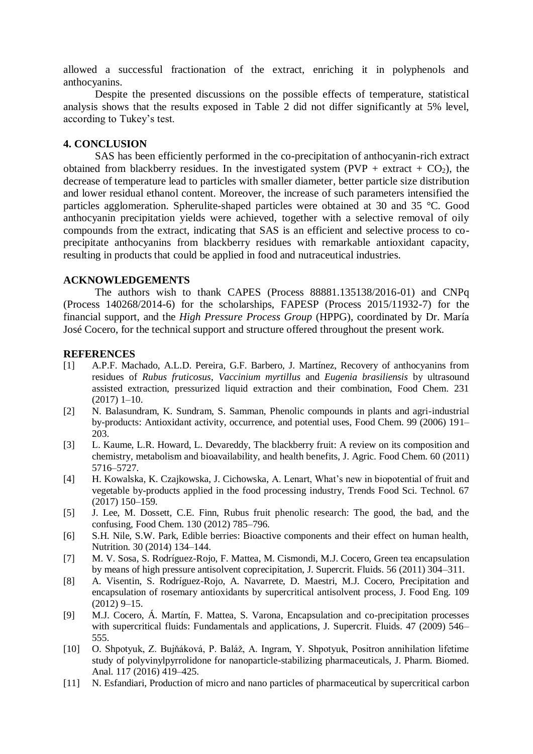allowed a successful fractionation of the extract, enriching it in polyphenols and anthocyanins.

Despite the presented discussions on the possible effects of temperature, statistical analysis shows that the results exposed in Table 2 did not differ significantly at 5% level, according to Tukey's test.

# **4. CONCLUSION**

SAS has been efficiently performed in the co-precipitation of anthocyanin-rich extract obtained from blackberry residues. In the investigated system (PVP + extract +  $CO<sub>2</sub>$ ), the decrease of temperature lead to particles with smaller diameter, better particle size distribution and lower residual ethanol content. Moreover, the increase of such parameters intensified the particles agglomeration. Spherulite-shaped particles were obtained at 30 and 35 °C. Good anthocyanin precipitation yields were achieved, together with a selective removal of oily compounds from the extract, indicating that SAS is an efficient and selective process to coprecipitate anthocyanins from blackberry residues with remarkable antioxidant capacity, resulting in products that could be applied in food and nutraceutical industries.

## **ACKNOWLEDGEMENTS**

The authors wish to thank CAPES (Process 88881.135138/2016-01) and CNPq (Process 140268/2014-6) for the scholarships, FAPESP (Process 2015/11932-7) for the financial support, and the *High Pressure Process Group* (HPPG), coordinated by Dr. María José Cocero, for the technical support and structure offered throughout the present work.

#### **REFERENCES**

- [1] A.P.F. Machado, A.L.D. Pereira, G.F. Barbero, J. Martínez, Recovery of anthocyanins from residues of *Rubus fruticosus*, *Vaccinium myrtillus* and *Eugenia brasiliensis* by ultrasound assisted extraction, pressurized liquid extraction and their combination, Food Chem. 231 (2017) 1–10.
- [2] N. Balasundram, K. Sundram, S. Samman, Phenolic compounds in plants and agri-industrial by-products: Antioxidant activity, occurrence, and potential uses, Food Chem. 99 (2006) 191– 203.
- [3] L. Kaume, L.R. Howard, L. Devareddy, The blackberry fruit: A review on its composition and chemistry, metabolism and bioavailability, and health benefits, J. Agric. Food Chem. 60 (2011) 5716–5727.
- [4] H. Kowalska, K. Czajkowska, J. Cichowska, A. Lenart, What's new in biopotential of fruit and vegetable by-products applied in the food processing industry, Trends Food Sci. Technol. 67 (2017) 150–159.
- [5] J. Lee, M. Dossett, C.E. Finn, Rubus fruit phenolic research: The good, the bad, and the confusing, Food Chem. 130 (2012) 785–796.
- [6] S.H. Nile, S.W. Park, Edible berries: Bioactive components and their effect on human health, Nutrition. 30 (2014) 134–144.
- [7] M. V. Sosa, S. Rodríguez-Rojo, F. Mattea, M. Cismondi, M.J. Cocero, Green tea encapsulation by means of high pressure antisolvent coprecipitation, J. Supercrit. Fluids. 56 (2011) 304–311.
- [8] A. Visentin, S. Rodríguez-Rojo, A. Navarrete, D. Maestri, M.J. Cocero, Precipitation and encapsulation of rosemary antioxidants by supercritical antisolvent process, J. Food Eng. 109 (2012) 9–15.
- [9] M.J. Cocero, Á. Martín, F. Mattea, S. Varona, Encapsulation and co-precipitation processes with supercritical fluids: Fundamentals and applications, J. Supercrit. Fluids. 47 (2009) 546– 555.
- [10] O. Shpotyuk, Z. Bujňáková, P. Baláž, A. Ingram, Y. Shpotyuk, Positron annihilation lifetime study of polyvinylpyrrolidone for nanoparticle-stabilizing pharmaceuticals, J. Pharm. Biomed. Anal. 117 (2016) 419–425.
- [11] N. Esfandiari, Production of micro and nano particles of pharmaceutical by supercritical carbon